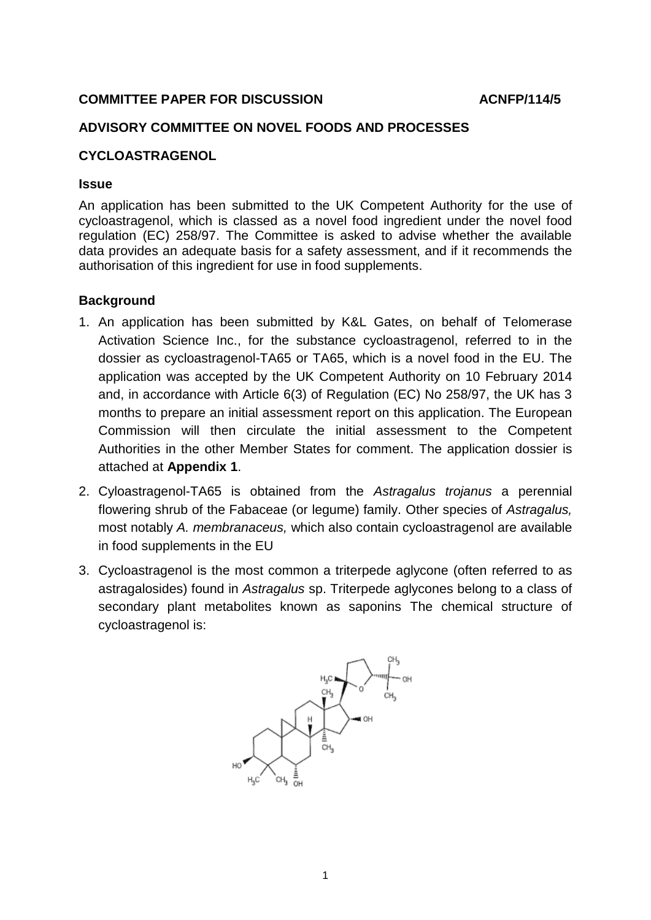#### **COMMITTEE PAPER FOR DISCUSSION ACNFP/114/5**

#### **ADVISORY COMMITTEE ON NOVEL FOODS AND PROCESSES**

#### **CYCLOASTRAGENOL**

#### **Issue**

An application has been submitted to the UK Competent Authority for the use of cycloastragenol, which is classed as a novel food ingredient under the novel food regulation (EC) 258/97. The Committee is asked to advise whether the available data provides an adequate basis for a safety assessment, and if it recommends the authorisation of this ingredient for use in food supplements.

#### **Background**

- 1. An application has been submitted by K&L Gates, on behalf of Telomerase Activation Science Inc., for the substance cycloastragenol, referred to in the dossier as cycloastragenol-TA65 or TA65, which is a novel food in the EU. The application was accepted by the UK Competent Authority on 10 February 2014 and, in accordance with Article 6(3) of Regulation (EC) No 258/97, the UK has 3 months to prepare an initial assessment report on this application. The European Commission will then circulate the initial assessment to the Competent Authorities in the other Member States for comment. The application dossier is attached at **Appendix 1**.
- 2. Cyloastragenol-TA65 is obtained from the *Astragalus trojanus* a perennial flowering shrub of the Fabaceae (or legume) family. Other species of *Astragalus,* most notably *A. membranaceus,* which also contain cycloastragenol are available in food supplements in the EU
- 3. Cycloastragenol is the most common a triterpede aglycone (often referred to as astragalosides) found in *Astragalus* sp. Triterpede aglycones belong to a class of secondary plant metabolites known as saponins The chemical structure of cycloastragenol is:

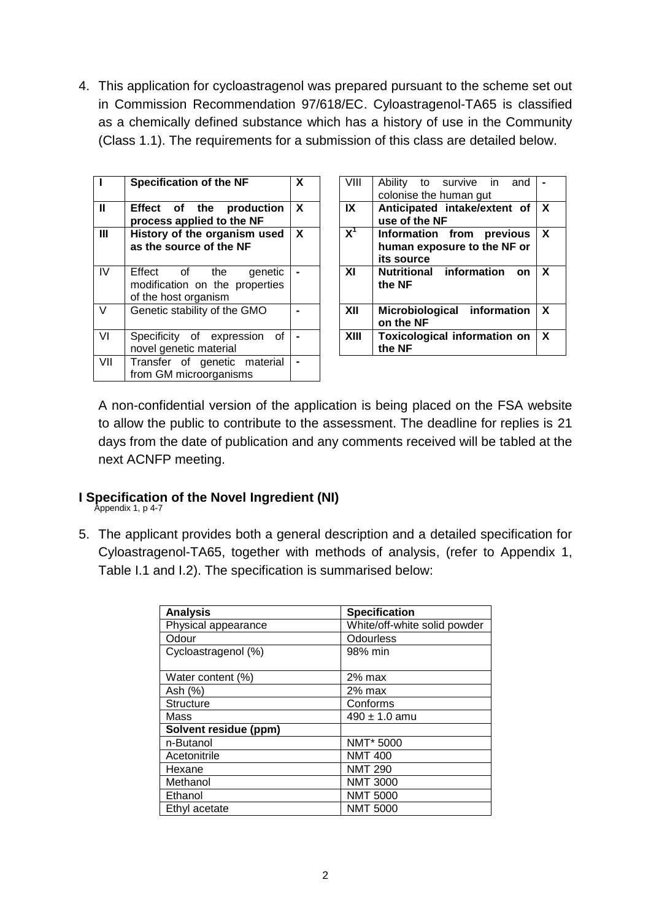4. This application for cycloastragenol was prepared pursuant to the scheme set out in Commission Recommendation 97/618/EC. Cyloastragenol-TA65 is classified as a chemically defined substance which has a history of use in the Community (Class 1.1). The requirements for a submission of this class are detailed below.

|              | <b>Specification of the NF</b>                                                     | X            | VIII                    | Ability to survive in<br>and<br>colonise the human gut                    |
|--------------|------------------------------------------------------------------------------------|--------------|-------------------------|---------------------------------------------------------------------------|
| $\mathbf{I}$ | Effect of the<br>production<br>process applied to the NF                           | $\mathbf{x}$ | $\mathsf{I} \mathsf{X}$ | Anticipated intake/extent of<br>use of the NF                             |
| $\mathbf{m}$ | History of the organism used<br>as the source of the NF                            | $\mathbf{X}$ | $X^1$                   | previous<br>Information from<br>human exposure to the NF or<br>its source |
| IV           | Effect of the<br>qenetic<br>modification on the properties<br>of the host organism |              | XI                      | <b>Nutritional information</b><br><b>on</b><br>the NF                     |
| $\vee$       | Genetic stability of the GMO                                                       |              | XII                     | Microbiological information<br>on the NF                                  |
| VI           | Specificity of expression<br>of<br>novel genetic material                          |              | XIII                    | <b>Toxicological information on</b><br>the NF                             |
| VII          | Transfer of genetic material<br>from GM microorganisms                             |              |                         |                                                                           |

| $\overline{\textsf{x}}$ | VIII  | Ability to survive in<br>and<br>colonise the human gut                 |   |
|-------------------------|-------|------------------------------------------------------------------------|---|
|                         |       |                                                                        |   |
| χ                       | IX    | Anticipated intake/extent of                                           | X |
|                         |       | use of the NF                                                          |   |
| $\overline{\mathsf{x}}$ | $X^1$ | Information from previous<br>human exposure to the NF or<br>its source | X |
| $\overline{a}$          | XI    | <b>Nutritional information</b><br>on<br>the NF                         | X |
| $\overline{a}$          | XII   | Microbiological information<br>on the NF                               | X |
|                         | XIII  | <b>Toxicological information on</b><br>the NF                          | X |

A non-confidential version of the application is being placed on the FSA website to allow the public to contribute to the assessment. The deadline for replies is 21 days from the date of publication and any comments received will be tabled at the next ACNFP meeting.

## **I Specification of the Novel Ingredient (NI)**

Appendix 1, p 4-7

5. The applicant provides both a general description and a detailed specification for Cyloastragenol-TA65, together with methods of analysis, (refer to Appendix 1, Table I.1 and I.2). The specification is summarised below:

| <b>Analysis</b>       | <b>Specification</b>         |  |
|-----------------------|------------------------------|--|
| Physical appearance   | White/off-white solid powder |  |
| Odour                 | Odourless                    |  |
| Cycloastragenol (%)   | 98% min                      |  |
|                       |                              |  |
| Water content (%)     | $2%$ max                     |  |
| Ash (%)               | 2% max                       |  |
| <b>Structure</b>      | Conforms                     |  |
| Mass                  | $490 \pm 1.0$ amu            |  |
| Solvent residue (ppm) |                              |  |
| n-Butanol             | NMT* 5000                    |  |
| Acetonitrile          | <b>NMT 400</b>               |  |
| Hexane                | <b>NMT 290</b>               |  |
| Methanol              | <b>NMT 3000</b>              |  |
| Ethanol               | <b>NMT 5000</b>              |  |
| Ethyl acetate         | <b>NMT 5000</b>              |  |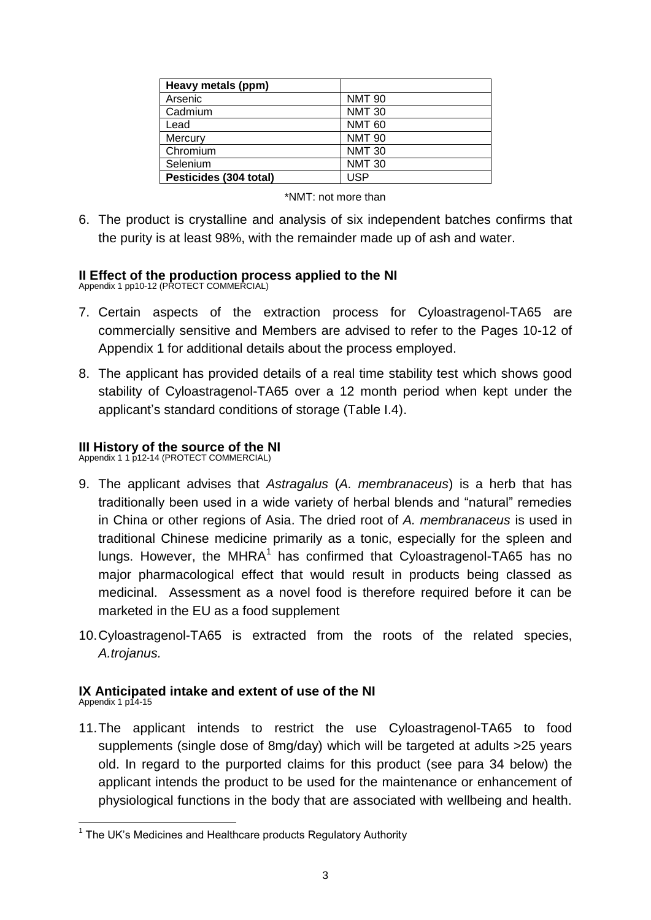| Heavy metals (ppm)     |               |
|------------------------|---------------|
| Arsenic                | <b>NMT 90</b> |
| Cadmium                | <b>NMT 30</b> |
| Lead                   | <b>NMT 60</b> |
| Mercury                | <b>NMT 90</b> |
| Chromium               | <b>NMT 30</b> |
| Selenium               | <b>NMT 30</b> |
| Pesticides (304 total) | USP           |

| *NMT: not more than |
|---------------------|

6. The product is crystalline and analysis of six independent batches confirms that the purity is at least 98%, with the remainder made up of ash and water.

# **II Effect of the production process applied to the NI** Appendix 1 pp10-12 (PROTECT COMMERCIAL)

- 7. Certain aspects of the extraction process for Cyloastragenol-TA65 are commercially sensitive and Members are advised to refer to the Pages 10-12 of Appendix 1 for additional details about the process employed.
- 8. The applicant has provided details of a real time stability test which shows good stability of Cyloastragenol-TA65 over a 12 month period when kept under the applicant's standard conditions of storage (Table I.4).

# **III History of the source of the NI**<br>Appendix 1 1 p12-14 (PROTECT COMMERCIAL)

- 9. The applicant advises that *Astragalus* (*A. membranaceus*) is a herb that has traditionally been used in a wide variety of herbal blends and "natural" remedies in China or other regions of Asia. The dried root of *A. membranaceus* is used in traditional Chinese medicine primarily as a tonic, especially for the spleen and lungs. However, the MHRA<sup>1</sup> has confirmed that Cyloastragenol-TA65 has no major pharmacological effect that would result in products being classed as medicinal. Assessment as a novel food is therefore required before it can be marketed in the EU as a food supplement
- 10.Cyloastragenol-TA65 is extracted from the roots of the related species, *A.trojanus.*

# **IX Anticipated intake and extent of use of the NI**

- Appendix 1 p14-15
- 11.The applicant intends to restrict the use Cyloastragenol-TA65 to food supplements (single dose of 8mg/day) which will be targeted at adults >25 years old. In regard to the purported claims for this product (see para 34 below) the applicant intends the product to be used for the maintenance or enhancement of physiological functions in the body that are associated with wellbeing and health.

 1 The UK's Medicines and Healthcare products Regulatory Authority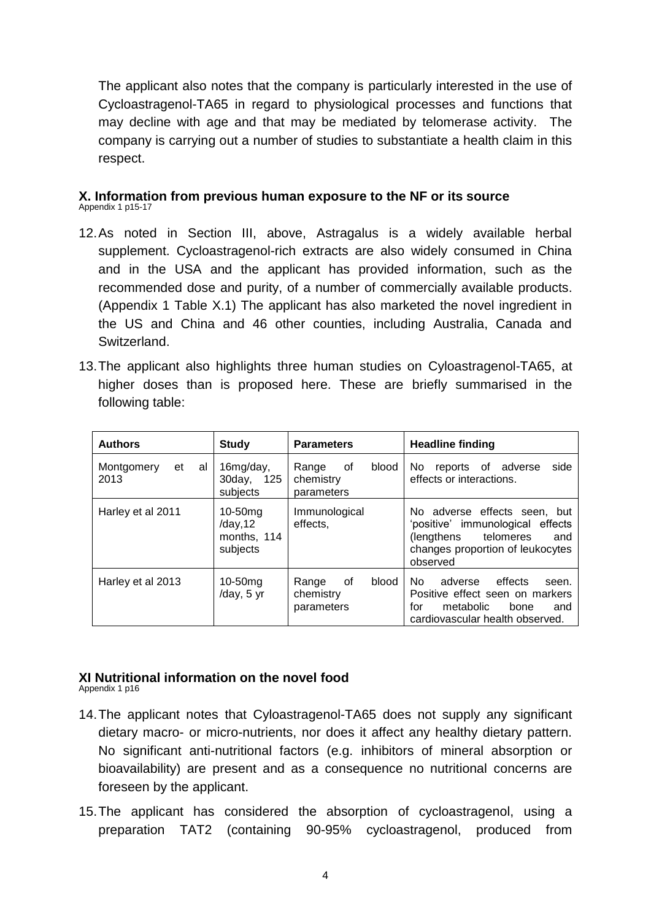The applicant also notes that the company is particularly interested in the use of Cycloastragenol-TA65 in regard to physiological processes and functions that may decline with age and that may be mediated by telomerase activity. The company is carrying out a number of studies to substantiate a health claim in this respect.

#### **X. Information from previous human exposure to the NF or its source**  Appendix 1 p15-17

- 12.As noted in Section III, above, Astragalus is a widely available herbal supplement. Cycloastragenol-rich extracts are also widely consumed in China and in the USA and the applicant has provided information, such as the recommended dose and purity, of a number of commercially available products. (Appendix 1 Table X.1) The applicant has also marketed the novel ingredient in the US and China and 46 other counties, including Australia, Canada and Switzerland.
- 13.The applicant also highlights three human studies on Cyloastragenol-TA65, at higher doses than is proposed here. These are briefly summarised in the following table:

| <b>Authors</b>                 | <b>Study</b>                                      | <b>Parameters</b>                               | <b>Headline finding</b>                                                                                                                             |
|--------------------------------|---------------------------------------------------|-------------------------------------------------|-----------------------------------------------------------------------------------------------------------------------------------------------------|
| Montgomery<br>et<br>al<br>2013 | 16mg/day,<br>30day, 125<br>subjects               | blood<br>0f<br>Range<br>chemistry<br>parameters | side<br>reports of adverse<br>No.<br>effects or interactions.                                                                                       |
| Harley et al 2011              | $10-50$ mg<br>/day, 12<br>months, 114<br>subjects | Immunological<br>effects,                       | No adverse effects seen, but<br>'positive' immunological effects<br>telomeres<br>(lengthens)<br>and<br>changes proportion of leukocytes<br>observed |
| Harley et al 2013              | $10-50$ mg<br>/day, 5 yr                          | οf<br>blood<br>Range<br>chemistry<br>parameters | effects<br>No.<br>adverse<br>seen.<br>Positive effect seen on markers<br>for<br>metabolic<br>bone<br>and<br>cardiovascular health observed.         |

#### **XI Nutritional information on the novel food** Appendix 1 p16

- 
- 14.The applicant notes that Cyloastragenol-TA65 does not supply any significant dietary macro- or micro-nutrients, nor does it affect any healthy dietary pattern. No significant anti-nutritional factors (e.g. inhibitors of mineral absorption or bioavailability) are present and as a consequence no nutritional concerns are foreseen by the applicant.
- 15.The applicant has considered the absorption of cycloastragenol, using a preparation TAT2 (containing 90-95% cycloastragenol, produced from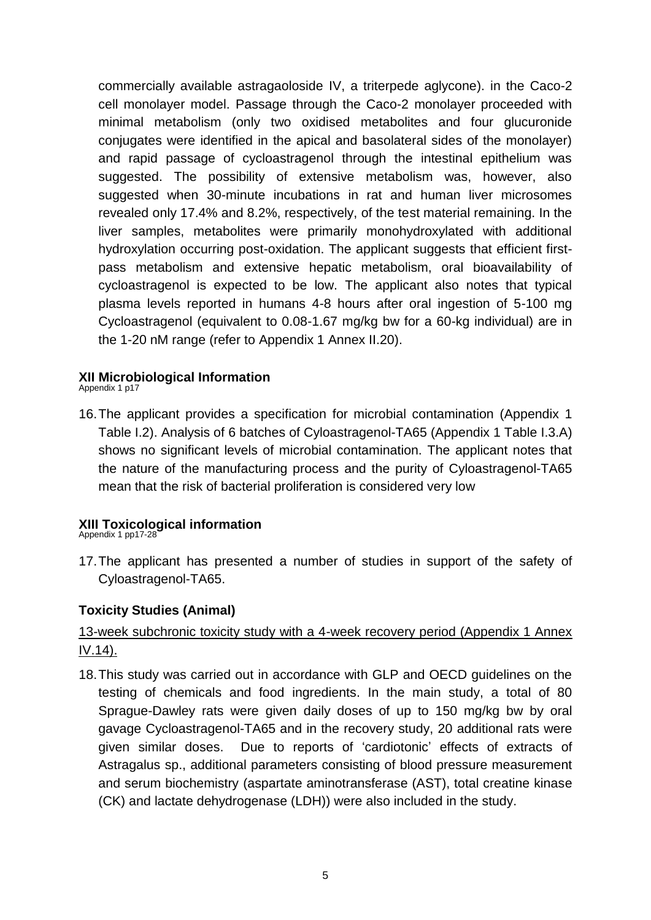commercially available astragaoloside IV, a triterpede aglycone). in the Caco-2 cell monolayer model. Passage through the Caco-2 monolayer proceeded with minimal metabolism (only two oxidised metabolites and four glucuronide conjugates were identified in the apical and basolateral sides of the monolayer) and rapid passage of cycloastragenol through the intestinal epithelium was suggested. The possibility of extensive metabolism was, however, also suggested when 30-minute incubations in rat and human liver microsomes revealed only 17.4% and 8.2%, respectively, of the test material remaining. In the liver samples, metabolites were primarily monohydroxylated with additional hydroxylation occurring post-oxidation. The applicant suggests that efficient firstpass metabolism and extensive hepatic metabolism, oral bioavailability of cycloastragenol is expected to be low. The applicant also notes that typical plasma levels reported in humans 4-8 hours after oral ingestion of 5-100 mg Cycloastragenol (equivalent to 0.08-1.67 mg/kg bw for a 60-kg individual) are in the 1-20 nM range (refer to Appendix 1 Annex II.20).

#### **XII Microbiological Information**

Appendix 1 p17

16.The applicant provides a specification for microbial contamination (Appendix 1 Table I.2). Analysis of 6 batches of Cyloastragenol-TA65 (Appendix 1 Table I.3.A) shows no significant levels of microbial contamination. The applicant notes that the nature of the manufacturing process and the purity of Cyloastragenol-TA65 mean that the risk of bacterial proliferation is considered very low

## **XIII Toxicological information**

Appendix 1 pp17-28

17.The applicant has presented a number of studies in support of the safety of Cyloastragenol-TA65.

## **Toxicity Studies (Animal)**

# 13-week subchronic toxicity study with a 4-week recovery period (Appendix 1 Annex IV.14).

18.This study was carried out in accordance with GLP and OECD guidelines on the testing of chemicals and food ingredients. In the main study, a total of 80 Sprague-Dawley rats were given daily doses of up to 150 mg/kg bw by oral gavage Cycloastragenol-TA65 and in the recovery study, 20 additional rats were given similar doses. Due to reports of 'cardiotonic' effects of extracts of Astragalus sp., additional parameters consisting of blood pressure measurement and serum biochemistry (aspartate aminotransferase (AST), total creatine kinase (CK) and lactate dehydrogenase (LDH)) were also included in the study.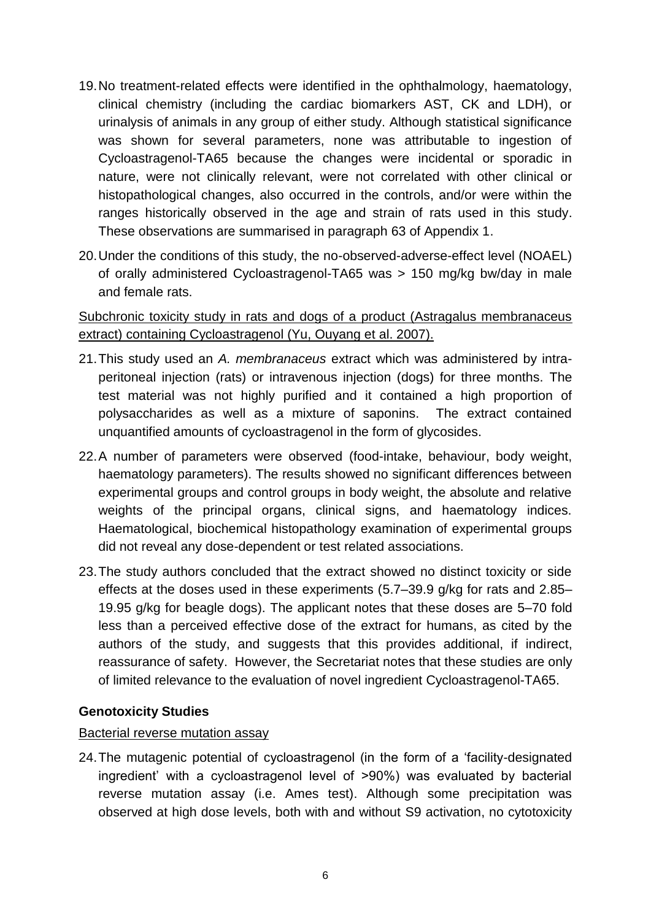- 19.No treatment-related effects were identified in the ophthalmology, haematology, clinical chemistry (including the cardiac biomarkers AST, CK and LDH), or urinalysis of animals in any group of either study. Although statistical significance was shown for several parameters, none was attributable to ingestion of Cycloastragenol-TA65 because the changes were incidental or sporadic in nature, were not clinically relevant, were not correlated with other clinical or histopathological changes, also occurred in the controls, and/or were within the ranges historically observed in the age and strain of rats used in this study. These observations are summarised in paragraph 63 of Appendix 1.
- 20.Under the conditions of this study, the no-observed-adverse-effect level (NOAEL) of orally administered Cycloastragenol-TA65 was > 150 mg/kg bw/day in male and female rats.

# Subchronic toxicity study in rats and dogs of a product (Astragalus membranaceus extract) containing Cycloastragenol (Yu, Ouyang et al. 2007).

- 21.This study used an *A. membranaceus* extract which was administered by intraperitoneal injection (rats) or intravenous injection (dogs) for three months. The test material was not highly purified and it contained a high proportion of polysaccharides as well as a mixture of saponins. The extract contained unquantified amounts of cycloastragenol in the form of glycosides.
- 22.A number of parameters were observed (food-intake, behaviour, body weight, haematology parameters). The results showed no significant differences between experimental groups and control groups in body weight, the absolute and relative weights of the principal organs, clinical signs, and haematology indices. Haematological, biochemical histopathology examination of experimental groups did not reveal any dose-dependent or test related associations.
- 23.The study authors concluded that the extract showed no distinct toxicity or side effects at the doses used in these experiments (5.7–39.9 g/kg for rats and 2.85– 19.95 g/kg for beagle dogs). The applicant notes that these doses are 5–70 fold less than a perceived effective dose of the extract for humans, as cited by the authors of the study, and suggests that this provides additional, if indirect, reassurance of safety. However, the Secretariat notes that these studies are only of limited relevance to the evaluation of novel ingredient Cycloastragenol-TA65.

## **Genotoxicity Studies**

#### Bacterial reverse mutation assay

24.The mutagenic potential of cycloastragenol (in the form of a 'facility-designated ingredient' with a cycloastragenol level of >90%) was evaluated by bacterial reverse mutation assay (i.e. Ames test). Although some precipitation was observed at high dose levels, both with and without S9 activation, no cytotoxicity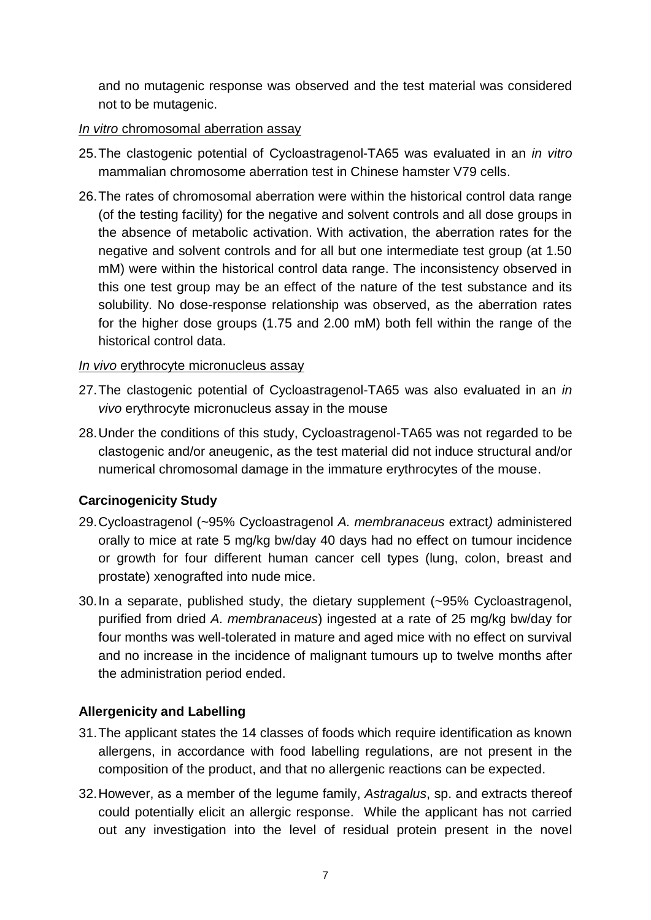and no mutagenic response was observed and the test material was considered not to be mutagenic.

#### *In vitro* chromosomal aberration assay

- 25.The clastogenic potential of Cycloastragenol-TA65 was evaluated in an *in vitro*  mammalian chromosome aberration test in Chinese hamster V79 cells.
- 26.The rates of chromosomal aberration were within the historical control data range (of the testing facility) for the negative and solvent controls and all dose groups in the absence of metabolic activation. With activation, the aberration rates for the negative and solvent controls and for all but one intermediate test group (at 1.50 mM) were within the historical control data range. The inconsistency observed in this one test group may be an effect of the nature of the test substance and its solubility. No dose-response relationship was observed, as the aberration rates for the higher dose groups (1.75 and 2.00 mM) both fell within the range of the historical control data.

#### *In vivo* erythrocyte micronucleus assay

- 27.The clastogenic potential of Cycloastragenol-TA65 was also evaluated in an *in vivo* erythrocyte micronucleus assay in the mouse
- 28.Under the conditions of this study, Cycloastragenol-TA65 was not regarded to be clastogenic and/or aneugenic, as the test material did not induce structural and/or numerical chromosomal damage in the immature erythrocytes of the mouse.

# **Carcinogenicity Study**

- 29.Cycloastragenol (~95% Cycloastragenol *A. membranaceus* extract*)* administered orally to mice at rate 5 mg/kg bw/day 40 days had no effect on tumour incidence or growth for four different human cancer cell types (lung, colon, breast and prostate) xenografted into nude mice.
- 30.In a separate, published study, the dietary supplement (~95% Cycloastragenol, purified from dried *A. membranaceus*) ingested at a rate of 25 mg/kg bw/day for four months was well-tolerated in mature and aged mice with no effect on survival and no increase in the incidence of malignant tumours up to twelve months after the administration period ended.

## **Allergenicity and Labelling**

- 31.The applicant states the 14 classes of foods which require identification as known allergens, in accordance with food labelling regulations, are not present in the composition of the product, and that no allergenic reactions can be expected.
- 32.However, as a member of the legume family, *Astragalus*, sp. and extracts thereof could potentially elicit an allergic response. While the applicant has not carried out any investigation into the level of residual protein present in the novel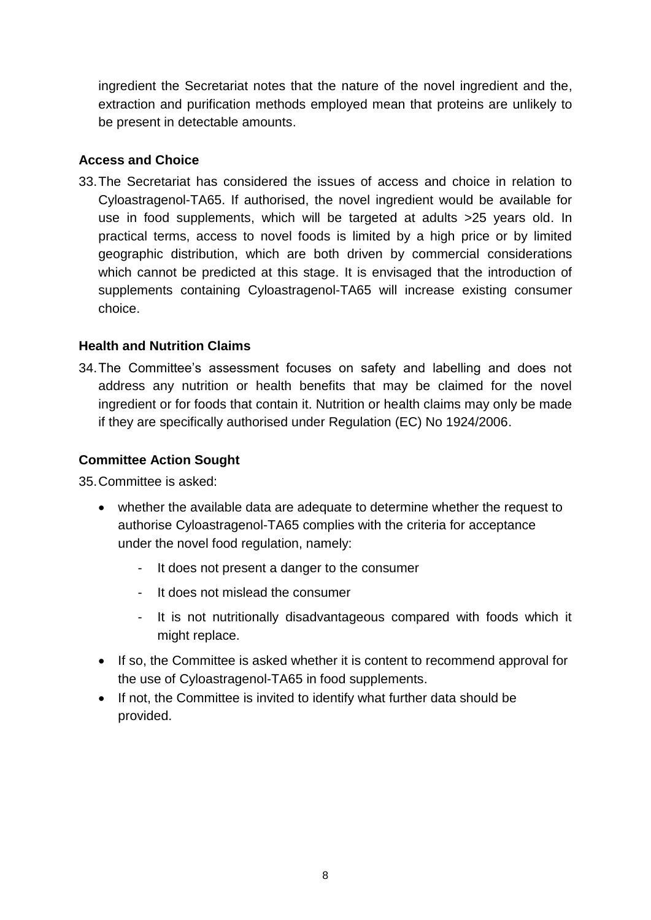ingredient the Secretariat notes that the nature of the novel ingredient and the, extraction and purification methods employed mean that proteins are unlikely to be present in detectable amounts.

## **Access and Choice**

33.The Secretariat has considered the issues of access and choice in relation to Cyloastragenol-TA65. If authorised, the novel ingredient would be available for use in food supplements, which will be targeted at adults >25 years old. In practical terms, access to novel foods is limited by a high price or by limited geographic distribution, which are both driven by commercial considerations which cannot be predicted at this stage. It is envisaged that the introduction of supplements containing Cyloastragenol-TA65 will increase existing consumer choice.

# **Health and Nutrition Claims**

34.The Committee's assessment focuses on safety and labelling and does not address any nutrition or health benefits that may be claimed for the novel ingredient or for foods that contain it. Nutrition or health claims may only be made if they are specifically authorised under Regulation (EC) No 1924/2006.

# **Committee Action Sought**

35.Committee is asked:

- whether the available data are adequate to determine whether the request to authorise Cyloastragenol-TA65 complies with the criteria for acceptance under the novel food regulation, namely:
	- It does not present a danger to the consumer
	- It does not mislead the consumer
	- It is not nutritionally disadvantageous compared with foods which it might replace.
- If so, the Committee is asked whether it is content to recommend approval for the use of Cyloastragenol-TA65 in food supplements.
- If not, the Committee is invited to identify what further data should be provided.